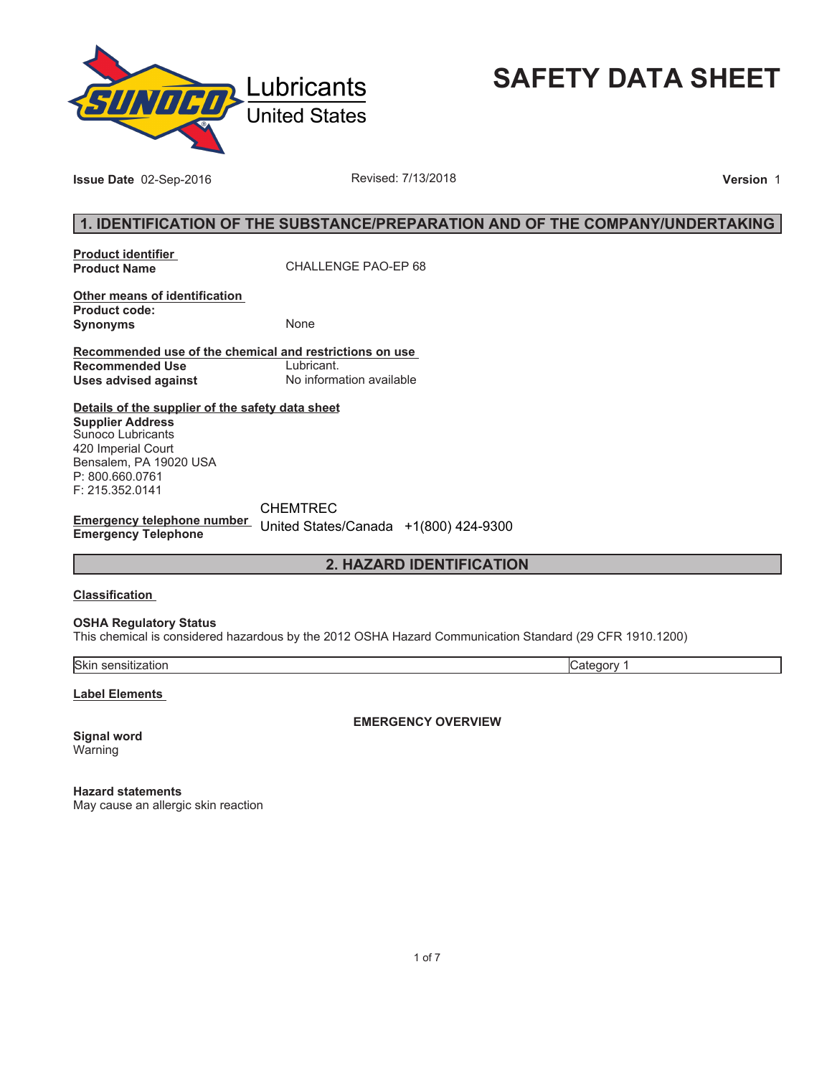

**SAFETY DATA SHEET**

**Issue Date** 02-Sep-2016 **Revised: 7/13/2018 Version** 1

## **1. IDENTIFICATION OF THE SUBSTANCE/PREPARATION AND OF THE COMPANY/UNDERTAKING**

**Product identifier** 

**Product Name** CHALLENGE PAO-EP 68

**Other means of identification Product code: Synonyms** None

**Recommended use of the chemical and restrictions on use Recommended Use<br>Uses advised against Uses advised against** No information available

**Details of the supplier of the safety data sheet Supplier Address** Sunoco Lubricants 420 Imperial Court Bensalem, PA 19020 USA

P: 800.660.0761 F: 215.352.0141 CHEMTREC

**Emergency telephone number**  United States/Canada +1(800) 424-9300**Emergency Telephone**

## **2. HAZARD IDENTIFICATION**

## **Classification**

#### **OSHA Regulatory Status**

This chemical is considered hazardous by the 2012 OSHA Hazard Communication Standard (29 CFR 1910.1200)

Skin sensitization Category 1

**Label Elements** 

**EMERGENCY OVERVIEW**

**Signal word** Warning

**Hazard statements** May cause an allergic skin reaction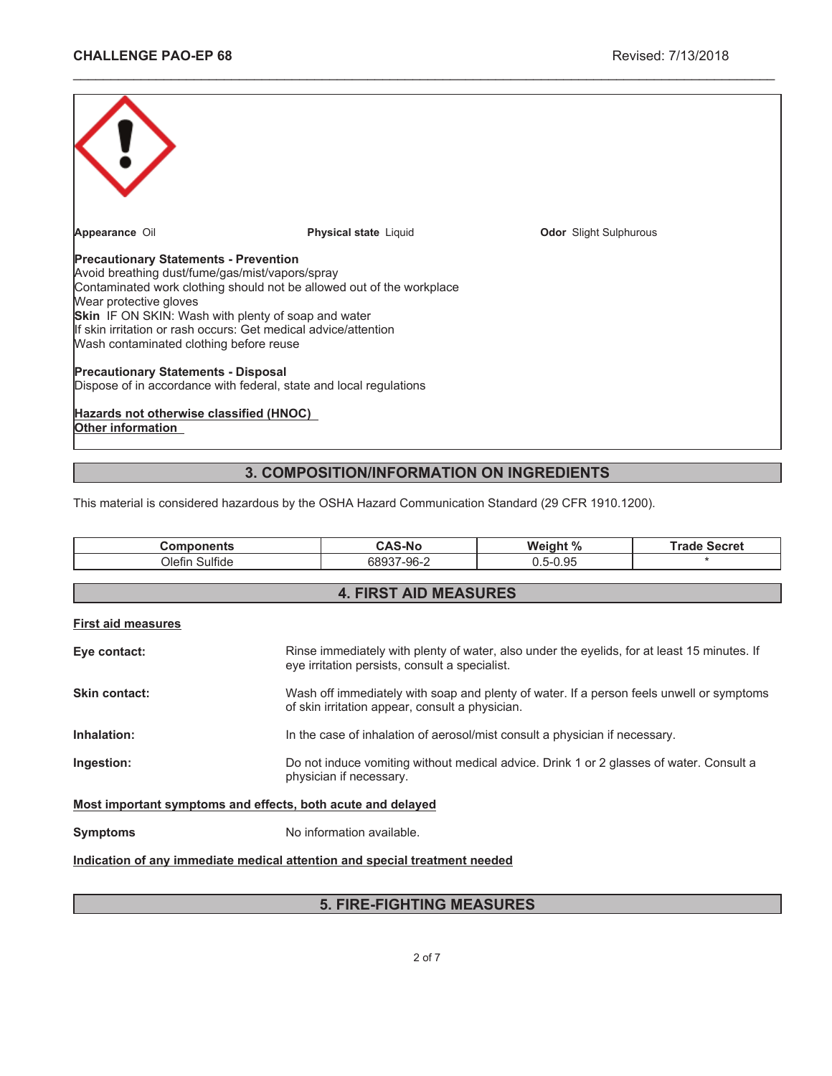| Appearance Oil                                                                                                                                                                                                                                                                                                                                                                 | <b>Physical state Liquid</b> | <b>Odor</b> Slight Sulphurous |  |  |
|--------------------------------------------------------------------------------------------------------------------------------------------------------------------------------------------------------------------------------------------------------------------------------------------------------------------------------------------------------------------------------|------------------------------|-------------------------------|--|--|
| <b>Precautionary Statements - Prevention</b><br>Avoid breathing dust/fume/gas/mist/vapors/spray<br>Contaminated work clothing should not be allowed out of the workplace<br>Wear protective gloves<br><b>Skin</b> IF ON SKIN: Wash with plenty of soap and water<br>If skin irritation or rash occurs: Get medical advice/attention<br>Wash contaminated clothing before reuse |                              |                               |  |  |
| <b>Precautionary Statements - Disposal</b><br>Dispose of in accordance with federal, state and local regulations                                                                                                                                                                                                                                                               |                              |                               |  |  |
| Hazards not otherwise classified (HNOC)<br><b>Other information</b>                                                                                                                                                                                                                                                                                                            |                              |                               |  |  |

\_\_\_\_\_\_\_\_\_\_\_\_\_\_\_\_\_\_\_\_\_\_\_\_\_\_\_\_\_\_\_\_\_\_\_\_\_\_\_\_\_\_\_\_\_\_\_\_\_\_\_\_\_\_\_\_\_\_\_\_\_\_\_\_\_\_\_\_\_\_\_\_\_\_\_\_\_\_\_\_\_\_\_\_\_\_\_\_\_\_\_\_\_

# **3. COMPOSITION/INFORMATION ON INGREDIENTS**

This material is considered hazardous by the OSHA Hazard Communication Standard (29 CFR 1910.1200).

| <b>Components</b>                                                          |  | <b>CAS-No</b>                                                                                                                               | Weight %                                                                                    | <b>Trade Secret</b> |  |
|----------------------------------------------------------------------------|--|---------------------------------------------------------------------------------------------------------------------------------------------|---------------------------------------------------------------------------------------------|---------------------|--|
| Olefin Sulfide                                                             |  | 68937-96-2                                                                                                                                  | $0.5 - 0.95$                                                                                | $\star$             |  |
|                                                                            |  |                                                                                                                                             |                                                                                             |                     |  |
| <b>4. FIRST AID MEASURES</b>                                               |  |                                                                                                                                             |                                                                                             |                     |  |
| <b>First aid measures</b>                                                  |  |                                                                                                                                             |                                                                                             |                     |  |
| Eye contact:                                                               |  | eye irritation persists, consult a specialist.                                                                                              | Rinse immediately with plenty of water, also under the eyelids, for at least 15 minutes. If |                     |  |
| <b>Skin contact:</b>                                                       |  | Wash off immediately with soap and plenty of water. If a person feels unwell or symptoms<br>of skin irritation appear, consult a physician. |                                                                                             |                     |  |
| Inhalation:                                                                |  | In the case of inhalation of aerosol/mist consult a physician if necessary.                                                                 |                                                                                             |                     |  |
| Ingestion:                                                                 |  | Do not induce vomiting without medical advice. Drink 1 or 2 glasses of water. Consult a<br>physician if necessary.                          |                                                                                             |                     |  |
| Most important symptoms and effects, both acute and delayed                |  |                                                                                                                                             |                                                                                             |                     |  |
| <b>Symptoms</b>                                                            |  | No information available.                                                                                                                   |                                                                                             |                     |  |
| Indication of any immediate medical attention and special treatment needed |  |                                                                                                                                             |                                                                                             |                     |  |

# **5. FIRE-FIGHTING MEASURES**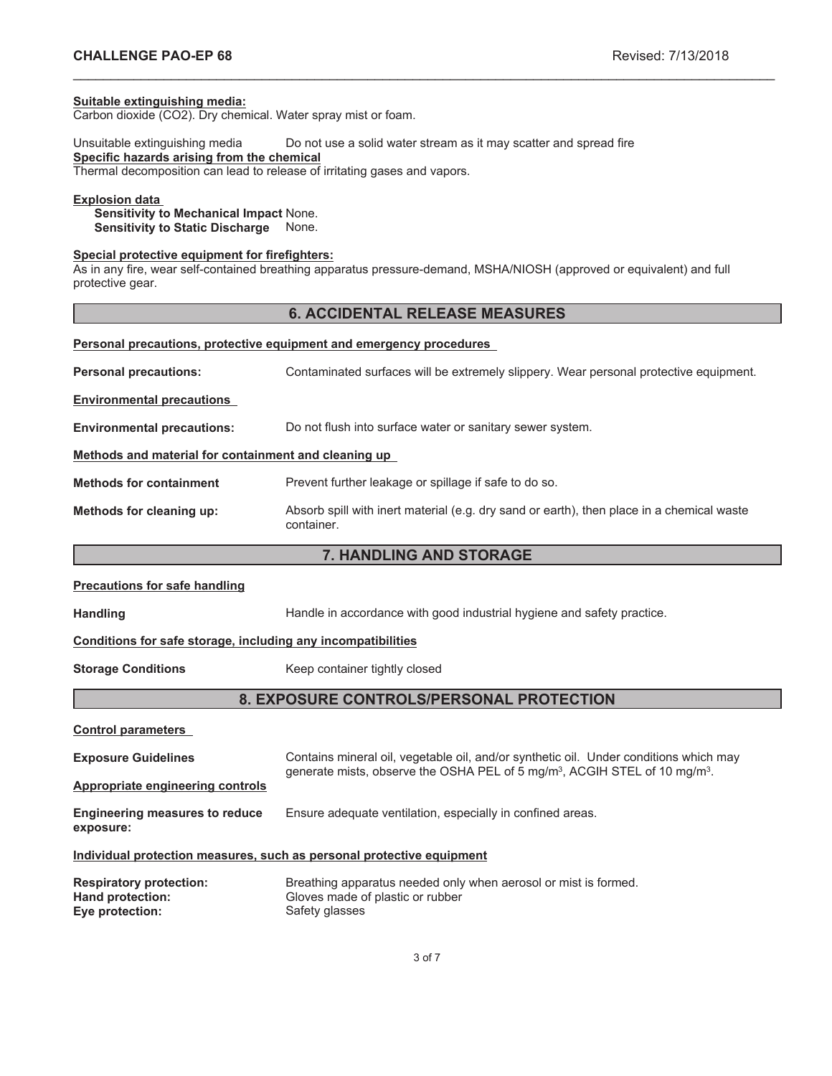#### **Suitable extinguishing media:**

Carbon dioxide (CO2). Dry chemical. Water spray mist or foam.

Unsuitable extinguishing media Do not use a solid water stream as it may scatter and spread fire **Specific hazards arising from the chemical** Thermal decomposition can lead to release of irritating gases and vapors.

#### **Explosion data**

**Sensitivity to Mechanical Impact** None. **Sensitivity to Static Discharge** None.

## **Special protective equipment for firefighters:**

As in any fire, wear self-contained breathing apparatus pressure-demand, MSHA/NIOSH (approved or equivalent) and full protective gear.

## **6. ACCIDENTAL RELEASE MEASURES**

\_\_\_\_\_\_\_\_\_\_\_\_\_\_\_\_\_\_\_\_\_\_\_\_\_\_\_\_\_\_\_\_\_\_\_\_\_\_\_\_\_\_\_\_\_\_\_\_\_\_\_\_\_\_\_\_\_\_\_\_\_\_\_\_\_\_\_\_\_\_\_\_\_\_\_\_\_\_\_\_\_\_\_\_\_\_\_\_\_\_\_\_\_

|                                                      | Personal precautions, protective equipment and emergency procedures                                     |
|------------------------------------------------------|---------------------------------------------------------------------------------------------------------|
| <b>Personal precautions:</b>                         | Contaminated surfaces will be extremely slippery. Wear personal protective equipment.                   |
| <b>Environmental precautions</b>                     |                                                                                                         |
| <b>Environmental precautions:</b>                    | Do not flush into surface water or sanitary sewer system.                                               |
| Methods and material for containment and cleaning up |                                                                                                         |
| <b>Methods for containment</b>                       | Prevent further leakage or spillage if safe to do so.                                                   |
| Methods for cleaning up:                             | Absorb spill with inert material (e.g. dry sand or earth), then place in a chemical waste<br>container. |
|                                                      | 7 U ANNI INA ANN ATANAAF                                                                                |

## **7. HANDLING AND STORAGE**

#### **Precautions for safe handling**

Handling **Handle in accordance with good industrial hygiene and safety practice.** 

#### **Conditions for safe storage, including any incompatibilities**

**Storage Conditions** Keep container tightly closed

## **8. EXPOSURE CONTROLS/PERSONAL PROTECTION**

**Control parameters**

| <b>Exposure Guidelines</b>                                            | Contains mineral oil, vegetable oil, and/or synthetic oil. Under conditions which may<br>generate mists, observe the OSHA PEL of 5 mg/m <sup>3</sup> , ACGIH STEL of 10 mg/m <sup>3</sup> . |  |
|-----------------------------------------------------------------------|---------------------------------------------------------------------------------------------------------------------------------------------------------------------------------------------|--|
| Appropriate engineering controls                                      |                                                                                                                                                                                             |  |
| <b>Engineering measures to reduce</b><br>exposure:                    | Ensure adequate ventilation, especially in confined areas.                                                                                                                                  |  |
| Individual protection measures, such as personal protective equipment |                                                                                                                                                                                             |  |
| <b>Respiratory protection:</b>                                        | Breathing apparatus needed only when aerosol or mist is formed.                                                                                                                             |  |

| <b>Respiratory protection:</b> | Breathing apparatus needed only when aerosol or mist is formed. |
|--------------------------------|-----------------------------------------------------------------|
| Hand protection:               | Gloves made of plastic or rubber                                |
| Eye protection:                | Safety glasses                                                  |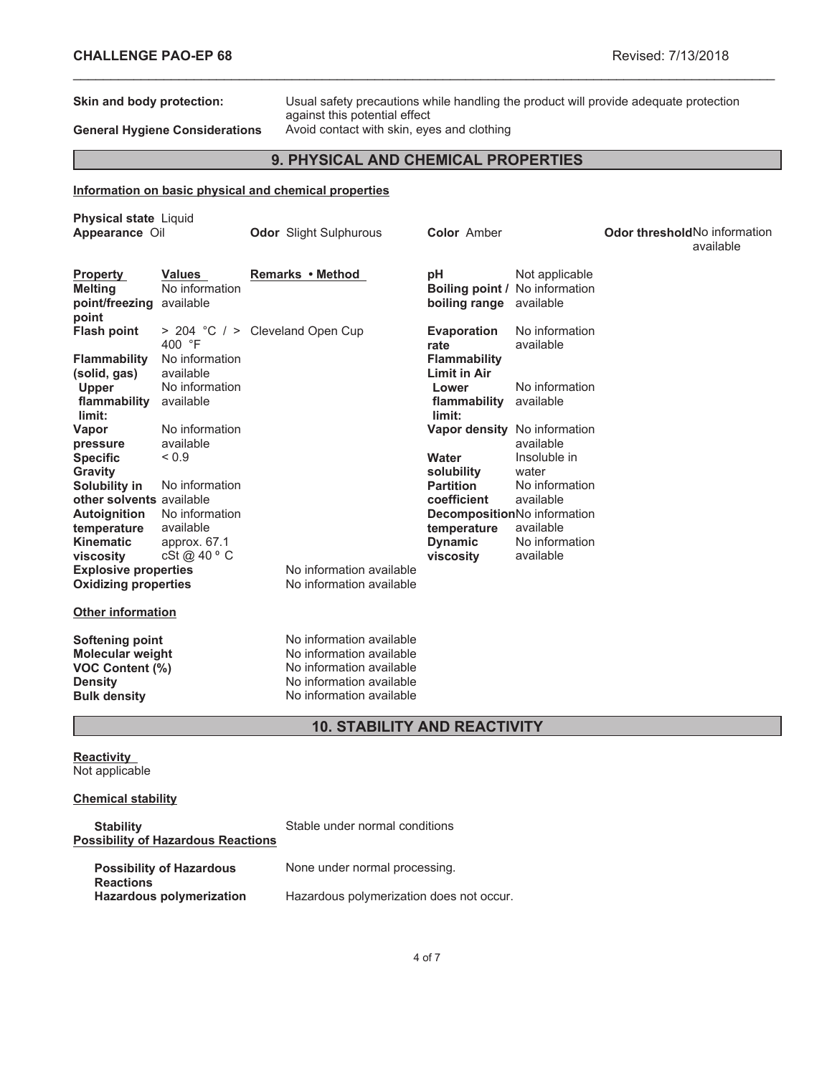**Skin and body protection:** Usual safety precautions while handling the product will provide adequate protection against this potential effect General Hygiene Considerations Avoid contact with skin, eyes and clothing

## **9. PHYSICAL AND CHEMICAL PROPERTIES**

\_\_\_\_\_\_\_\_\_\_\_\_\_\_\_\_\_\_\_\_\_\_\_\_\_\_\_\_\_\_\_\_\_\_\_\_\_\_\_\_\_\_\_\_\_\_\_\_\_\_\_\_\_\_\_\_\_\_\_\_\_\_\_\_\_\_\_\_\_\_\_\_\_\_\_\_\_\_\_\_\_\_\_\_\_\_\_\_\_\_\_\_\_

## **Information on basic physical and chemical properties**

| <b>Physical state Liquid</b><br>Appearance Oil                                                                                                                                                                                                                |                                                                                                                                                                                    | <b>Odor</b> Slight Sulphurous                                                                                                                                                                    | <b>Color Amber</b>                                                                                                                                                                                                                                                    |                                                                                                                                                                | <b>Odor threshold No information</b><br>available |
|---------------------------------------------------------------------------------------------------------------------------------------------------------------------------------------------------------------------------------------------------------------|------------------------------------------------------------------------------------------------------------------------------------------------------------------------------------|--------------------------------------------------------------------------------------------------------------------------------------------------------------------------------------------------|-----------------------------------------------------------------------------------------------------------------------------------------------------------------------------------------------------------------------------------------------------------------------|----------------------------------------------------------------------------------------------------------------------------------------------------------------|---------------------------------------------------|
| <b>Property</b><br>Meltina<br>point/freezing<br>point                                                                                                                                                                                                         | <b>Values</b><br>No information<br>available                                                                                                                                       | Remarks • Method                                                                                                                                                                                 | рH<br>Boiling point / No information<br>boiling range                                                                                                                                                                                                                 | Not applicable<br>available                                                                                                                                    |                                                   |
| <b>Flash point</b><br><b>Flammability</b><br>(solid, gas)<br><b>Upper</b><br>flammability<br>limit:<br>Vapor<br>pressure<br><b>Specific</b><br>Gravity<br>Solubility in<br>other solvents available<br><b>Autoignition</b><br>temperature<br><b>Kinematic</b> | 400 °F<br>No information<br>available<br>No information<br>available<br>No information<br>available<br>${}_{0.9}$<br>No information<br>No information<br>available<br>approx. 67.1 | > 204 °C / > Cleveland Open Cup                                                                                                                                                                  | <b>Evaporation</b><br>rate<br><b>Flammability</b><br><b>Limit in Air</b><br>Lower<br>flammability<br>limit:<br>Vapor density No information<br>Water<br>solubility<br><b>Partition</b><br>coefficient<br>DecompositionNo information<br>temperature<br><b>Dynamic</b> | No information<br>available<br>No information<br>available<br>available<br>Insoluble in<br>water<br>No information<br>available<br>available<br>No information |                                                   |
| viscosity<br><b>Explosive properties</b><br><b>Oxidizing properties</b><br><b>Other information</b><br>Softening point<br><b>Molecular weight</b><br><b>VOC Content (%)</b><br><b>Density</b><br><b>Bulk density</b>                                          | cSt @ $40^{\circ}$ C                                                                                                                                                               | No information available<br>No information available<br>No information available<br>No information available<br>No information available<br>No information available<br>No information available | viscosity                                                                                                                                                                                                                                                             | available                                                                                                                                                      |                                                   |

## **10. STABILITY AND REACTIVITY**

**Reactivity** Not applicable

## **Chemical stability**

| <b>Stability</b><br><b>Possibility of Hazardous Reactions</b> | Stable under normal conditions           |
|---------------------------------------------------------------|------------------------------------------|
| <b>Possibility of Hazardous</b><br><b>Reactions</b>           | None under normal processing.            |
| <b>Hazardous polymerization</b>                               | Hazardous polymerization does not occur. |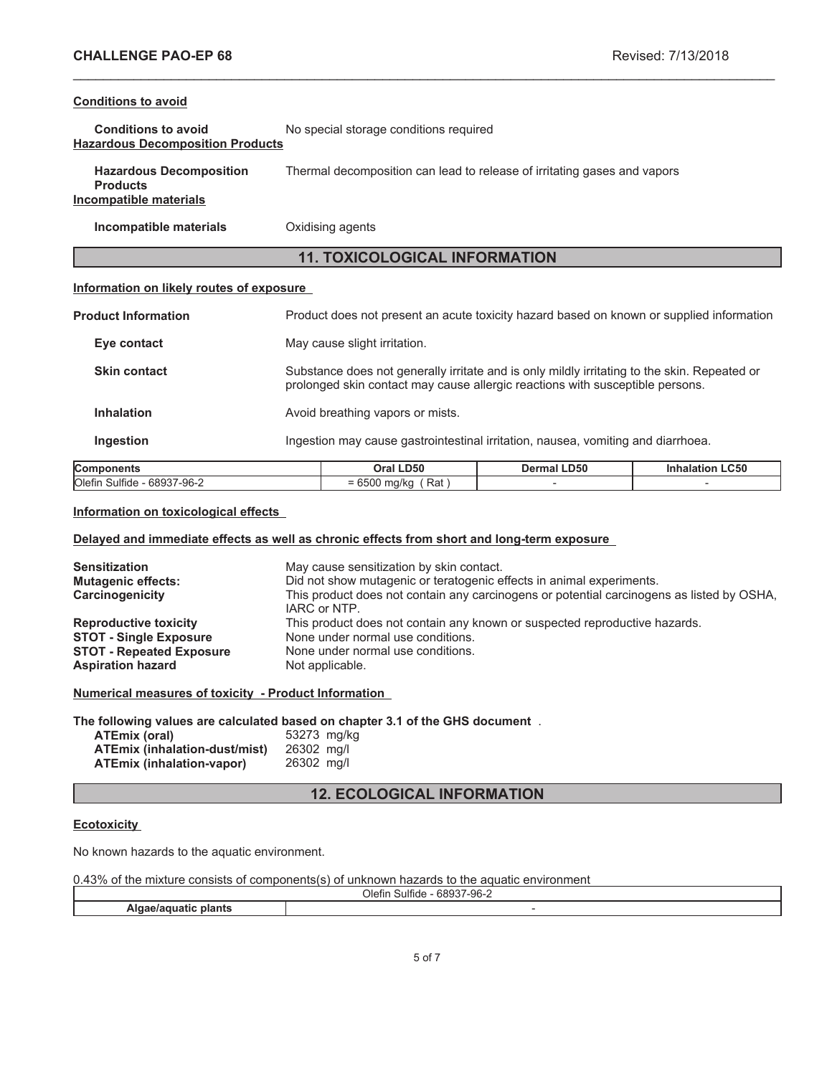## **Conditions to avoid**

| <b>Conditions to avoid</b>              | No special storage conditions required |
|-----------------------------------------|----------------------------------------|
| <b>Hazardous Decomposition Products</b> |                                        |

| <b>Hazardous Decomposition</b> | Thermal decomposition can lead to release of irritating gases and vapors |
|--------------------------------|--------------------------------------------------------------------------|
| <b>Products</b>                |                                                                          |
| Incomnatible materials         |                                                                          |

# **Incompatible materials**

**Incompatible materials** Oxidising agents

## **11. TOXICOLOGICAL INFORMATION**

\_\_\_\_\_\_\_\_\_\_\_\_\_\_\_\_\_\_\_\_\_\_\_\_\_\_\_\_\_\_\_\_\_\_\_\_\_\_\_\_\_\_\_\_\_\_\_\_\_\_\_\_\_\_\_\_\_\_\_\_\_\_\_\_\_\_\_\_\_\_\_\_\_\_\_\_\_\_\_\_\_\_\_\_\_\_\_\_\_\_\_\_\_

## **Information on likely routes of exposure**

| <b>Components</b>          |                                                                                  | Oral LD50                                                                                                                                                                     | Dermal LD50 | <b>Inhalation LC50</b> |
|----------------------------|----------------------------------------------------------------------------------|-------------------------------------------------------------------------------------------------------------------------------------------------------------------------------|-------------|------------------------|
| <b>Ingestion</b>           | Ingestion may cause gastrointestinal irritation, nausea, vomiting and diarrhoea. |                                                                                                                                                                               |             |                        |
| <b>Inhalation</b>          |                                                                                  | Avoid breathing vapors or mists.                                                                                                                                              |             |                        |
| <b>Skin contact</b>        |                                                                                  | Substance does not generally irritate and is only mildly irritating to the skin. Repeated or<br>prolonged skin contact may cause allergic reactions with susceptible persons. |             |                        |
| Eye contact                |                                                                                  | May cause slight irritation.                                                                                                                                                  |             |                        |
| <b>Product Information</b> |                                                                                  | Product does not present an acute toxicity hazard based on known or supplied information                                                                                      |             |                        |

## **Information on toxicological effects**

## **Delayed and immediate effects as well as chronic effects from short and long-term exposure**

| <b>Sensitization</b><br><b>Mutagenic effects:</b><br>Carcinogenicity | May cause sensitization by skin contact.<br>Did not show mutagenic or teratogenic effects in animal experiments.<br>This product does not contain any carcinogens or potential carcinogens as listed by OSHA,<br>IARC or NTP. |
|----------------------------------------------------------------------|-------------------------------------------------------------------------------------------------------------------------------------------------------------------------------------------------------------------------------|
| <b>Reproductive toxicity</b>                                         | This product does not contain any known or suspected reproductive hazards.                                                                                                                                                    |
| <b>STOT - Single Exposure</b>                                        | None under normal use conditions.                                                                                                                                                                                             |
| <b>STOT - Repeated Exposure</b>                                      | None under normal use conditions.                                                                                                                                                                                             |
| <b>Aspiration hazard</b>                                             | Not applicable.                                                                                                                                                                                                               |

**Numerical measures of toxicity - Product Information**

**The following values are calculated based on chapter 3.1 of the GHS document** .

| ATEmix (oral)                    | 53273 mg/kg |  |
|----------------------------------|-------------|--|
| ATEmix (inhalation-dust/mist)    | 26302 mg/l  |  |
| <b>ATEmix (inhalation-vapor)</b> | 26302 mg/l  |  |

## **12. ECOLOGICAL INFORMATION**

## **Ecotoxicity**

No known hazards to the aquatic environment.

0.43% of the mixture consists of components(s) of unknown hazards to the aquatic environment

|                    | - 68937-96-∠<br>Olefin<br>sulfide |  |
|--------------------|-----------------------------------|--|
| .<br>biants<br>. . |                                   |  |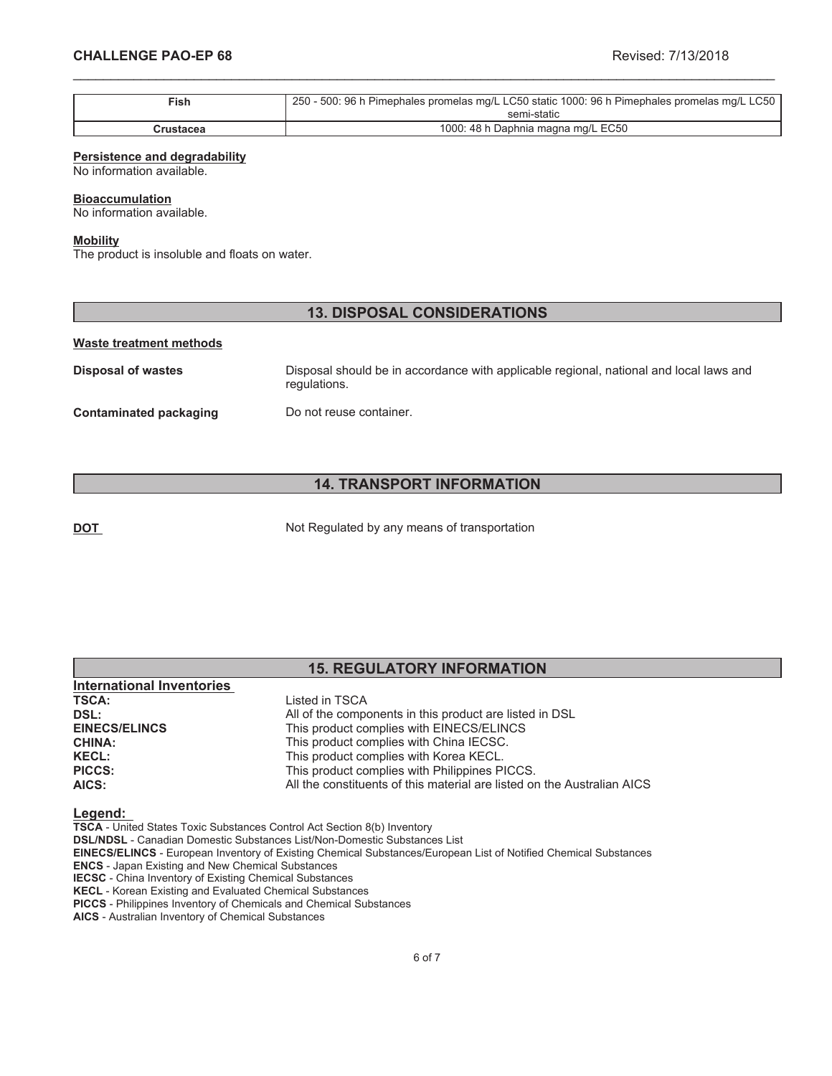| $\mathsf{Fish}$ | 250 - 500: 96 h Pimephales promelas mg/L LC50 static 1000: 96 h Pimephales promelas mg/L LC50 |
|-----------------|-----------------------------------------------------------------------------------------------|
|                 | semi-static                                                                                   |
| Crustacea       | 1000: 48 h Daphnia magna mg/L EC50                                                            |

\_\_\_\_\_\_\_\_\_\_\_\_\_\_\_\_\_\_\_\_\_\_\_\_\_\_\_\_\_\_\_\_\_\_\_\_\_\_\_\_\_\_\_\_\_\_\_\_\_\_\_\_\_\_\_\_\_\_\_\_\_\_\_\_\_\_\_\_\_\_\_\_\_\_\_\_\_\_\_\_\_\_\_\_\_\_\_\_\_\_\_\_\_

#### **Persistence and degradability**

No information available.

#### **Bioaccumulation**

No information available.

#### **Mobility**

The product is insoluble and floats on water.

## **13. DISPOSAL CONSIDERATIONS**

#### **Waste treatment methods**

**Disposal of wastes** Disposal should be in accordance with applicable regional, national and local laws and regulations. **Contaminated packaging Do not reuse container.** 

## **14. TRANSPORT INFORMATION**

**DOT** Not Regulated by any means of transportation

## **15. REGULATORY INFORMATION International Inventories TSCA:** Listed in TSCA **DSL:**<br> **All of the components in this product are listed in DSL<br>
<b>EINECS/ELINCS**<br>
This product complies with EINECS/ELINCS **EINECS/ELINCS** This product complies with EINECS/ELINCS<br> **CHINA:** This product complies with China IECSC. This product complies with China IECSC. **KECL:** This product complies with Korea KECL.

## **Legend:**

**TSCA** - United States Toxic Substances Control Act Section 8(b) Inventory

**DSL/NDSL** - Canadian Domestic Substances List/Non-Domestic Substances List

**PICCS:** This product complies with Philippines PICCS.

**EINECS/ELINCS** - European Inventory of Existing Chemical Substances/European List of Notified Chemical Substances

**AICS:** All the constituents of this material are listed on the Australian AICS

**ENCS** - Japan Existing and New Chemical Substances

**IECSC** - China Inventory of Existing Chemical Substances **KECL** - Korean Existing and Evaluated Chemical Substances

**PICCS** - Philippines Inventory of Chemicals and Chemical Substances

**AICS** - Australian Inventory of Chemical Substances